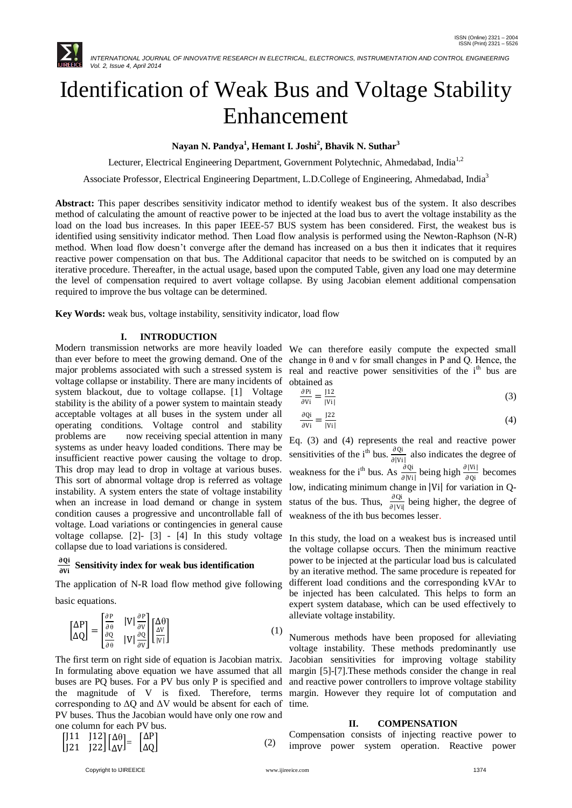

# Identification of Weak Bus and Voltage Stability Enhancement

**Nayan N. Pandya<sup>1</sup> , Hemant I. Joshi<sup>2</sup> , Bhavik N. Suthar<sup>3</sup>**

Lecturer, Electrical Engineering Department, Government Polytechnic, Ahmedabad, India<sup>1,2</sup>

Associate Professor, Electrical Engineering Department, L.D.College of Engineering, Ahmedabad, India<sup>3</sup>

**Abstract:** This paper describes sensitivity indicator method to identify weakest bus of the system. It also describes method of calculating the amount of reactive power to be injected at the load bus to avert the voltage instability as the load on the load bus increases. In this paper IEEE-57 BUS system has been considered. First, the weakest bus is identified using sensitivity indicator method. Then Load flow analysis is performed using the Newton-Raphson (N-R) method. When load flow doesn't converge after the demand has increased on a bus then it indicates that it requires reactive power compensation on that bus. The Additional capacitor that needs to be switched on is computed by an iterative procedure. Thereafter, in the actual usage, based upon the computed Table, given any load one may determine the level of compensation required to avert voltage collapse. By using Jacobian element additional compensation required to improve the bus voltage can be determined.

**Key Words:** weak bus, voltage instability, sensitivity indicator, load flow

## **I. INTRODUCTION**

Modern transmission networks are more heavily loaded than ever before to meet the growing demand. One of the major problems associated with such a stressed system is voltage collapse or instability. There are many incidents of system blackout, due to voltage collapse. [1] Voltage stability is the ability of a power system to maintain steady acceptable voltages at all buses in the system under all operating conditions. Voltage control and stability problems are now receiving special attention in many systems as under heavy loaded conditions. There may be insufficient reactive power causing the voltage to drop. This drop may lead to drop in voltage at various buses. This sort of abnormal voltage drop is referred as voltage instability. A system enters the state of voltage instability when an increase in load demand or change in system condition causes a progressive and uncontrollable fall of voltage. Load variations or contingencies in general cause voltage collapse. [2]- [3] - [4] In this study voltage collapse due to load variations is considered.

#### ∂Qi **Sensitivity index for weak bus identification**

The application of N-R load flow method give following

basic equations.

$$
\begin{bmatrix}\n\Delta P \\
\Delta Q\n\end{bmatrix} = \begin{bmatrix}\n\frac{\partial P}{\partial \theta} & |V| \frac{\partial P}{\partial V} \\
\frac{\partial Q}{\partial \theta} & |V| \frac{\partial Q}{\partial V}\n\end{bmatrix} \begin{bmatrix}\n\Delta \theta \\
\frac{\Delta V}{|V|}\n\end{bmatrix}
$$
\n(1)

The first term on right side of equation is Jacobian matrix. In formulating above equation we have assumed that all buses are PQ buses. For a PV bus only P is specified and the magnitude of V is fixed. Therefore, terms corresponding to  $\Delta Q$  and  $\Delta V$  would be absent for each of PV buses. Thus the Jacobian would have only one row and one column for each PV bus.

$$
\begin{bmatrix} 11 & 112 \\ 121 & 122 \end{bmatrix} \begin{bmatrix} \Delta \theta \\ \Delta V \end{bmatrix} = \begin{bmatrix} \Delta P \\ \Delta Q \end{bmatrix}
$$
 (2)

We can therefore easily compute the expected small change in  $\theta$  and v for small changes in P and Q. Hence, the real and reactive power sensitivities of the i<sup>th</sup> bus are obtained as

$$
\frac{\partial \mathbf{P}i}{\partial \mathbf{V}i} = \frac{112}{|\mathbf{V}i|} \tag{3}
$$

$$
\frac{\partial \mathbf{Qi}}{\partial \mathbf{Vi}} = \frac{122}{|\mathbf{Vi}|}
$$
(4)

Eq. (3) and (4) represents the real and reactive power sensitivities of the i<sup>th</sup> bus.  $\frac{\partial Q_i}{\partial |V_i|}$  also indicates the degree of weakness for the i<sup>th</sup> bus. As  $\frac{\partial Q_i}{\partial |V_i|}$  being high  $\frac{\partial |V_i|}{\partial Q_i}$  becomes low, indicating minimum change in |Vi| for variation in Qstatus of the bus. Thus,  $\frac{\partial Q_i}{\partial |V_i|}$  being higher, the degree of weakness of the ith bus becomes lesser.

In this study, the load on a weakest bus is increased until the voltage collapse occurs. Then the minimum reactive power to be injected at the particular load bus is calculated by an iterative method. The same procedure is repeated for different load conditions and the corresponding kVAr to be injected has been calculated. This helps to form an expert system database, which can be used effectively to alleviate voltage instability.

Numerous methods have been proposed for alleviating voltage instability. These methods predominantly use Jacobian sensitivities for improving voltage stability margin [5]-[7].These methods consider the change in real and reactive power controllers to improve voltage stability margin. However they require lot of computation and time.

## **II. COMPENSATION**

Compensation consists of injecting reactive power to improve power system operation. Reactive power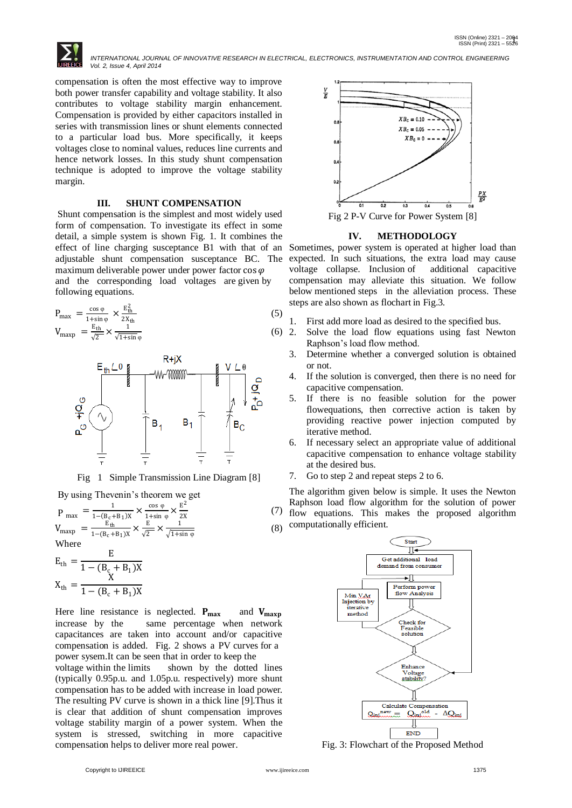*INTERNATIONAL JOURNAL OF INNOVATIVE RESEARCH IN ELECTRICAL, ELECTRONICS, INSTRUMENTATION AND CONTROL ENGINEERING Vol. 2, Issue 4, April 2014*

compensation is often the most effective way to improve both power transfer capability and voltage stability. It also contributes to voltage stability margin enhancement. Compensation is provided by either capacitors installed in series with transmission lines or shunt elements connected to a particular load bus. More specifically, it keeps voltages close to nominal values, reduces line currents and hence network losses. In this study shunt compensation technique is adopted to improve the voltage stability margin.

# **III. SHUNT COMPENSATION**

Shunt compensation is the simplest and most widely used form of compensation. To investigate its effect in some detail, a simple system is shown Fig. 1. It combines the effect of line charging susceptance B1 with that of an adjustable shunt compensation susceptance BC. The maximum deliverable power under power factor  $\cos \varphi$ and the corresponding load voltages are given by following equations.

$$
P_{\text{max}} = \frac{\cos \varphi}{1 + \sin \varphi} \times \frac{E_{\text{th}}^2}{2X_{\text{th}}}
$$
  
\n
$$
V_{\text{maxp}} = \frac{E_{\text{th}}}{\sqrt{2}} \times \frac{1}{\sqrt{1 + \sin \varphi}}
$$
 (5)



Fig 1 Simple Transmission Line Diagram [8]

By using Thevenin's theorem we get

$$
P_{\text{max}} = \frac{1}{1 - (B_c + B_1)X} \times \frac{\cos \varphi}{1 + \sin \varphi} \times \frac{E^2}{2X}
$$
(7)  
\n
$$
V_{\text{maxp}} = \frac{E_{\text{th}}}{1 - (B_c + B_1)X} \times \frac{E}{\sqrt{2}} \times \frac{1}{\sqrt{1 + \sin \varphi}}
$$
(8)

Where

$$
E_{th} = \frac{E}{1 - (B_c + B_1)X}
$$

$$
X_{th} = \frac{X}{1 - (B_c + B_1)X}
$$

Here line resistance is neglected.  $P_{\text{max}}$  and  $V_{\text{maxp}}$  increase by the same percentage when network same percentage when network capacitances are taken into account and/or capacitive compensation is added. Fig. 2 shows a PV curves for a power sysem.It can be seen that in order to keep the

voltage within the limits shown by the dotted lines (typically 0.95p.u. and 1.05p.u. respectively) more shunt compensation has to be added with increase in load power. The resulting PV curve is shown in a thick line [9].Thus it is clear that addition of shunt compensation improves voltage stability margin of a power system. When the system is stressed, switching in more capacitive compensation helps to deliver more real power.



## **IV. METHODOLOGY**

Sometimes, power system is operated at higher load than expected. In such situations, the extra load may cause voltage collapse. Inclusion of additional capacitive compensation may alleviate this situation. We follow below mentioned steps in the alleviation process. These steps are also shown as flochart in Fig.3.

- 1. First add more load as desired to the specified bus.
- 2. Solve the load flow equations using fast Newton Raphson's load flow method.
	- 3. Determine whether a converged solution is obtained or not.
	- 4. If the solution is converged, then there is no need for capacitive compensation.
	- 5. If there is no feasible solution for the power flowequations, then corrective action is taken by providing reactive power injection computed by iterative method.
	- 6. If necessary select an appropriate value of additional capacitive compensation to enhance voltage stability at the desired bus.
	- 7. Go to step 2 and repeat steps 2 to 6.

The algorithm given below is simple. It uses the Newton Raphson load flow algorithm for the solution of power flow equations. This makes the proposed algorithm computationally efficient.



Fig. 3: Flowchart of the Proposed Method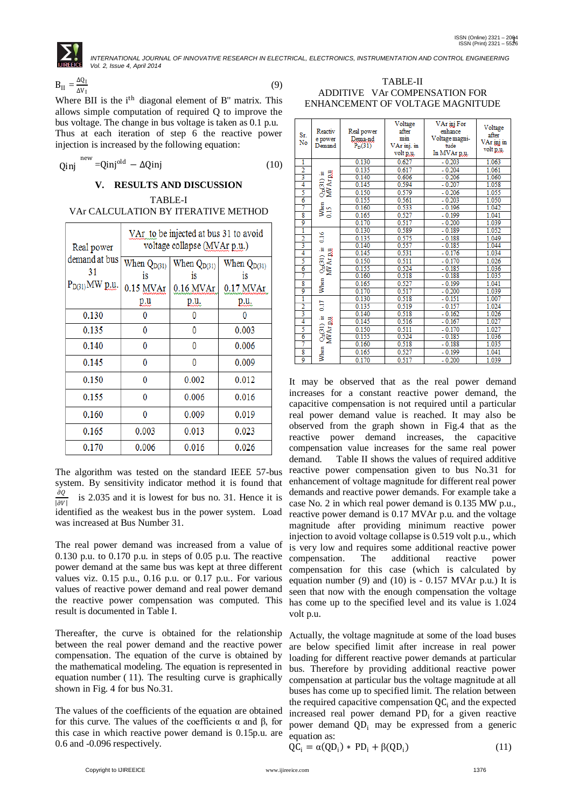*INTERNATIONAL JOURNAL OF INNOVATIVE RESEARCH IN ELECTRICAL, ELECTRONICS, INSTRUMENTATION AND CONTROL ENGINEERING Vol. 2, Issue 4, April 2014*

$$
B_{II} = \frac{\Delta Q_I}{\Delta V_I} \tag{9}
$$

Where BII is the i<sup>th</sup> diagonal element of B" matrix. This allows simple computation of required Q to improve the bus voltage. The change in bus voltage is taken as 0.1 p.u. Thus at each iteration of step 6 the reactive power injection is increased by the following equation:

$$
Qinj \stackrel{\text{new}}{=} Qinj^{\text{old}} - \Delta Qinj \tag{10}
$$

# **V. RESULTS AND DISCUSSION**

TABLE-I VAr CALCULATION BY ITERATIVE METHOD

| Real power          | VAr to be injected at bus 31 to avoid<br>voltage collapse (MVAr p.u.) |                        |                        |  |  |
|---------------------|-----------------------------------------------------------------------|------------------------|------------------------|--|--|
| demand at bus<br>31 | When $Q_{D(31)}$<br>is                                                | When $Q_{D(31)}$<br>is | When $Q_{D(31)}$<br>1S |  |  |
| $P_{D(31)}MW$ p.u.  | $0.15$ MVAr                                                           | 0.16 MVAr              | $0.17$ MVAr            |  |  |
|                     | p.u                                                                   | p.u.                   | <u>p.u.</u>            |  |  |
| 0.130               | 0                                                                     | 0                      |                        |  |  |
| 0.135               | 0                                                                     | 0                      | 0.003                  |  |  |
| 0.140               | 0                                                                     | 0                      | 0.006                  |  |  |
| 0.145               | 0                                                                     | 0                      | 0.009                  |  |  |
| 0.150               | 0                                                                     | 0.002                  | 0.012                  |  |  |
| 0.155               | 0                                                                     | 0.006                  | 0.016                  |  |  |
| 0.160               | 0                                                                     | 0.009                  | 0.019                  |  |  |
| 0.165               | 0.003                                                                 |                        | 0.023                  |  |  |
| 0.170<br>0.006      |                                                                       | 0.016                  | 0.026                  |  |  |

The algorithm was tested on the standard IEEE 57-bus system. By sensitivity indicator method it is found that  $\partial Q$  $\overline{|\partial V|}$  is 2.035 and it is lowest for bus no. 31. Hence it is identified as the weakest bus in the power system. Load was increased at Bus Number 31.

The real power demand was increased from a value of 0.130 p.u. to 0.170 p.u. in steps of 0.05 p.u. The reactive power demand at the same bus was kept at three different values viz. 0.15 p.u., 0.16 p.u. or 0.17 p.u.. For various values of reactive power demand and real power demand the reactive power compensation was computed. This result is documented in Table I.

Thereafter, the curve is obtained for the relationship between the real power demand and the reactive power compensation. The equation of the curve is obtained by the mathematical modeling. The equation is represented in equation number ( 11). The resulting curve is graphically shown in Fig. 4 for bus No.31.

The values of the coefficients of the equation are obtained for this curve. The values of the coefficients α and β, for this case in which reactive power demand is 0.15p.u. are 0.6 and -0.096 respectively.

| TABLE-II                         |
|----------------------------------|
| ADDITIVE VAr COMPENSATION FOR    |
| ENHANCEMENT OF VOLTAGE MAGNITUDE |

| Sr.<br>No               | Reactiv<br>e power<br>Demand                                            | Real power<br>Dema-nd<br>P <sub>D</sub> (31) | Voltage<br>after<br>min<br>VAr inj. in<br>volt p.u. | VAr inj For<br>enhance<br>Voltage magni-<br>tude<br>In MVAr p.u. | Voltage<br>after<br>VAr inj in<br>volt p.u. |
|-------------------------|-------------------------------------------------------------------------|----------------------------------------------|-----------------------------------------------------|------------------------------------------------------------------|---------------------------------------------|
| 1                       |                                                                         | 0.130                                        | 0.627                                               | $-0.203$                                                         | 1.063                                       |
| $\frac{2}{3}$           |                                                                         | 0.135                                        | 0.617                                               | $-0.204$                                                         | 1.061                                       |
|                         | $\frac{\text{O}_{\text{D}}(31)}{\text{MW} \text{Ar} \text{g} \text{u}}$ | 0.140                                        | 0.606                                               | $-0.206$                                                         | 1.060                                       |
| 4                       |                                                                         | 0.145                                        | 0.594                                               | $-0.207$                                                         | 1.058                                       |
| 5                       |                                                                         | 0.150                                        | 0.579                                               | $-0.206$                                                         | 1.055                                       |
| 6                       |                                                                         | 0.155                                        | 0.561                                               | $-0.203$                                                         | 1.050                                       |
| 7                       | When                                                                    | 0.160                                        | 0.533                                               | $-0.196$                                                         | 1.042                                       |
| $\overline{\mathbf{8}}$ | 0.15                                                                    | 0.165                                        | 0.527                                               | $-0.199$                                                         | 1.041                                       |
| 9                       |                                                                         | 0.170                                        | 0.517                                               | $-0.200$                                                         | 1.039                                       |
|                         | ī<br>ă<br>$\frac{2}{3}$                                                 | 0.130                                        | 0.589                                               | $-0.189$                                                         | 1.052                                       |
|                         |                                                                         | 0.135                                        | 0.575                                               | $-0.188$                                                         | 1.049                                       |
|                         |                                                                         | 0.140                                        | 0.557                                               | $-0.185$                                                         | 1.044                                       |
| 4                       | $QDC(31)$ is<br>MW Ar p.u                                               | 0.145                                        | 0.531                                               | $-0.176$                                                         | 1.034                                       |
| 5                       |                                                                         | 0.150                                        | 0.511                                               | $-0.170$                                                         | 1.026                                       |
| $\overline{6}$          |                                                                         | 0.155                                        | 0.524                                               | $-0.185$                                                         | 1.036                                       |
| 7                       |                                                                         | 0.160                                        | 0.518                                               | $-0.188$                                                         | 1.035                                       |
| $\overline{\mathbf{8}}$ | When                                                                    | 0.165                                        | 0.527                                               | $-0.199$                                                         | 1.041                                       |
| 9                       |                                                                         | 0.170                                        | 0.517                                               | $-0.200$                                                         | 1.039                                       |
| ī                       |                                                                         | 0.130                                        | 0.518                                               | $-0.151$                                                         | 1.007                                       |
| $\frac{2}{3}$           | 5ir                                                                     | 0.135                                        | 0.519                                               | $-0.157$                                                         | 1.024                                       |
|                         |                                                                         | 0.140                                        | 0.518                                               | $-0.162$                                                         | 1.026                                       |
| 4                       |                                                                         | 0.145                                        | 0.516                                               | $-0.167$                                                         | 1.027                                       |
| 5                       | $QD(31)$ is<br>MV Ar p.u                                                | 0.150                                        | 0.511                                               | $-0.170$                                                         | 1.027                                       |
| $\overline{6}$          |                                                                         | 0.155                                        | 0.524                                               | $-0.185$                                                         | 1.036                                       |
| 7                       |                                                                         | 0.160                                        | 0.518                                               | $-0.188$                                                         | 1.035                                       |
| $\overline{\mathbf{s}}$ | When                                                                    | 0.165                                        | 0.527                                               | $-0.199$                                                         | 1.041                                       |
| 9                       |                                                                         | 0.170                                        | 0.517                                               | $-0.200$                                                         | 1.039                                       |

It may be observed that as the real power demand increases for a constant reactive power demand, the capacitive compensation is not required until a particular real power demand value is reached. It may also be observed from the graph shown in Fig.4 that as the reactive power demand increases, the capacitive compensation value increases for the same real power demand. Table II shows the values of required additive reactive power compensation given to bus No.31 for enhancement of voltage magnitude for different real power demands and reactive power demands. For example take a case No. 2 in which real power demand is 0.135 MW p.u., reactive power demand is 0.17 MVAr p.u. and the voltage magnitude after providing minimum reactive power injection to avoid voltage collapse is 0.519 volt p.u., which is very low and requires some additional reactive power compensation. The additional reactive power compensation for this case (which is calculated by equation number (9) and (10) is  $-0.157$  MVAr p.u.) It is seen that now with the enough compensation the voltage has come up to the specified level and its value is 1.024 volt p.u.

Actually, the voltage magnitude at some of the load buses are below specified limit after increase in real power loading for different reactive power demands at particular bus. Therefore by providing additional reactive power compensation at particular bus the voltage magnitude at all buses has come up to specified limit. The relation between the required capacitive compensation  $\overline{QC}_i$  and the expected increased real power demand  $PD_i$  for a given reactive power demand  $QD_i$  may be expressed from a generic equation as:

$$
\dot{QC}_i = \alpha (QD_i) * PD_i + \beta (QD_i)
$$
\n(11)